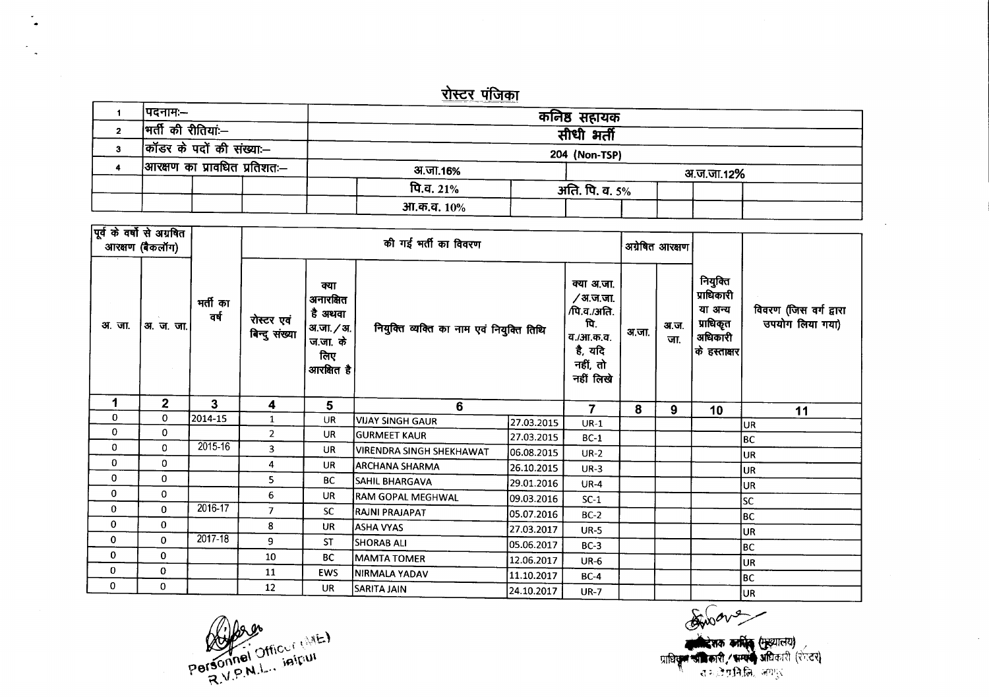## <u>रोस्टर पंजिका</u>

| ।पदनामः—                     | कनिष्ठ सहायक                |                |  |  |  |  |  |  |
|------------------------------|-----------------------------|----------------|--|--|--|--|--|--|
| भर्ती की रीतियां:--          |                             |                |  |  |  |  |  |  |
| $ $ कॉडर के पदों की संख्याः— | सीधी भर्ती<br>204 (Non-TSP) |                |  |  |  |  |  |  |
| आरक्षण का प्रावधित प्रतिशतः— | अ.जा.16%                    | अ.ज.जा.12%     |  |  |  |  |  |  |
|                              | पि.व. 21%                   | अति. पि. व. 5% |  |  |  |  |  |  |
|                              | आ.क.व. १०%                  |                |  |  |  |  |  |  |

|        | पूर्व के वर्षो से अग्रबित<br>आरक्षण (बैकलॉग) |                  | की गई भर्ती का विवरण<br>अग्रेषित आरक्षण |                                                                             |                                           |            |                                                                                               |       |             |                                                                                          |                                           |
|--------|----------------------------------------------|------------------|-----------------------------------------|-----------------------------------------------------------------------------|-------------------------------------------|------------|-----------------------------------------------------------------------------------------------|-------|-------------|------------------------------------------------------------------------------------------|-------------------------------------------|
| अ. जा. | अ. ज. जा.।                                   | भर्ती का<br>वर्ष | रोस्टर एवं<br>बिन्दु संख्या             | क्या<br>अनारक्षित<br>है अथवा<br>अ.जा. / अ.<br>ज.जा. के<br>लिए<br>आरक्षित है | नियुक्ति व्यक्ति का नाम एवं नियुक्ति तिथि |            | क्या अ.जा.<br>∕अ.ज.जा.<br>/पि.व./अति.<br>पि.<br>व./आ.क.व.<br>है, यदि<br>नहीं, तो<br>नहीं लिखे | अ.जा. | अ.ज.<br>जा. | नियुक्ति<br>प्राधिकारी<br>या अन्य<br>प्राधिकृत<br>अधिकारी<br>। के हस्ताक्षर <sup>।</sup> | विवरण (जिस वर्ग द्वारा<br>उपयोग लिया गया) |
| 1      | $\mathbf{2}$                                 | 3                | 4                                       | 5                                                                           | 6                                         |            | 7                                                                                             | 8     | 9           | 10                                                                                       | 11                                        |
| 0      | 0                                            | 2014-15          | $\mathbf{1}$                            | UR                                                                          | VIJAY SINGH GAUR                          | 27.03.2015 | $UR-1$                                                                                        |       |             |                                                                                          | UR                                        |
| 0      | 0                                            |                  | $\overline{2}$                          | <b>UR</b>                                                                   | <b>GURMEET KAUR</b>                       | 27.03.2015 | $BC-1$                                                                                        |       |             |                                                                                          | BC                                        |
| 0      | $\mathbf{0}$                                 | 2015-16          | 3                                       | <b>UR</b>                                                                   | <b>VIRENDRA SINGH SHEKHAWAT</b>           | 06.08.2015 | $UR-2$                                                                                        |       |             |                                                                                          | <b>JUR</b>                                |
| 0      | 0                                            |                  | 4                                       | <b>UR</b>                                                                   | <b>ARCHANA SHARMA</b>                     | 26.10.2015 | $UR-3$                                                                                        |       |             |                                                                                          | UR                                        |
| 0      | 0                                            |                  | 5                                       | <b>BC</b>                                                                   | <b>SAHIL BHARGAVA</b>                     | 29.01.2016 | <b>UR-4</b>                                                                                   |       |             |                                                                                          | UR.                                       |
| 0      | 0                                            |                  | 6                                       | UR.                                                                         | <b>RAM GOPAL MEGHWAL</b>                  | 09.03.2016 | $SC-1$                                                                                        |       |             |                                                                                          | SC                                        |
| 0      | $\mathbf{0}$                                 | 2016-17          | $\overline{7}$                          | <b>SC</b>                                                                   | RAJNI PRAJAPAT                            | 05.07.2016 | $BC-2$                                                                                        |       |             |                                                                                          | BC                                        |
| 0      | 0                                            |                  | 8                                       | <b>UR</b>                                                                   | ASHA VYAS                                 | 27.03.2017 | <b>UR-5</b>                                                                                   |       |             |                                                                                          | UR                                        |
| 0      | 0                                            | 2017-18          | 9                                       | <b>ST</b>                                                                   | <b>SHORAB ALI</b>                         | 05.06.2017 | $BC-3$                                                                                        |       |             |                                                                                          | lBC.                                      |
| 0      | 0                                            |                  | 10                                      | <b>BC</b>                                                                   | <b>MAMTA TOMER</b>                        | 12.06.2017 | $UR-6$                                                                                        |       |             |                                                                                          | lur.                                      |
| 0      | 0                                            |                  | 11                                      | <b>EWS</b>                                                                  | <b>NIRMALA YADAV</b>                      | 11.10.2017 | $BC-4$                                                                                        |       |             |                                                                                          | BC                                        |
| 0      | 0                                            |                  | 12                                      | <b>UR</b>                                                                   | SARITA JAIN                               | 24.10.2017 | <b>UR-7</b>                                                                                   |       |             |                                                                                          | ∪r                                        |

Aware प्राधिस्तान कार्मिक (मुख्यालय)<br>प्राधिसूत जीविकारी / भाषाण अधिकारी (रंग्टर)<br>संस्कृत संस्कृति, अयमुर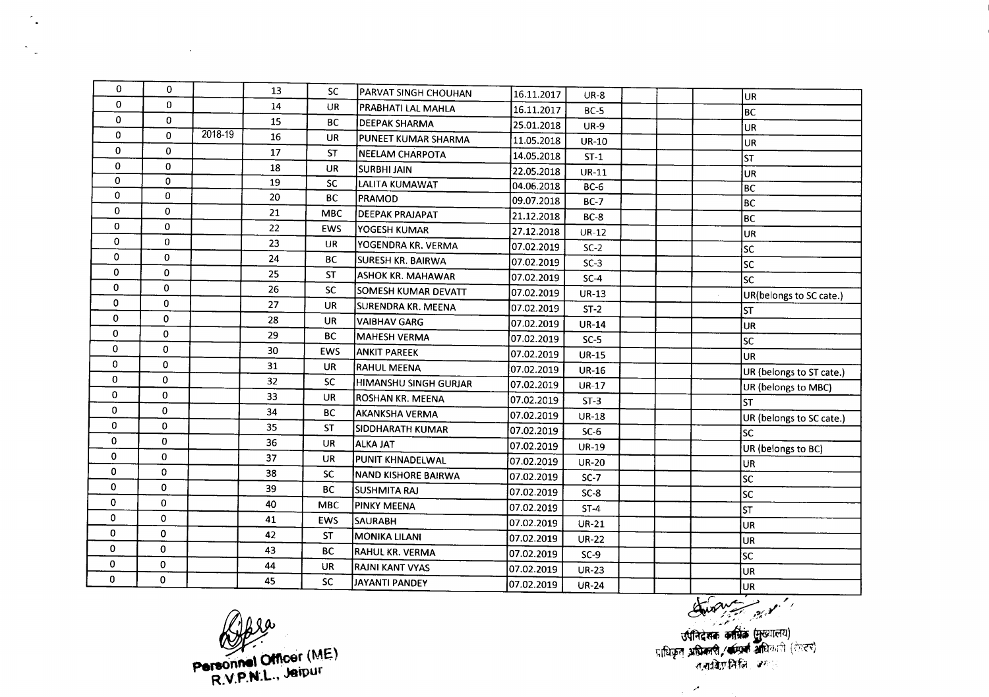| 0            | 0            |             | 13 | <b>SC</b>  | <b>PARVAT SINGH CHOUHAN</b> | 16.11.2017 | <b>UR-8</b>  |  | lur.                     |
|--------------|--------------|-------------|----|------------|-----------------------------|------------|--------------|--|--------------------------|
| $\Omega$     | 0            |             | 14 | <b>UR</b>  | PRABHATI LAL MAHLA          | 16.11.2017 | $BC-5$       |  | BC                       |
| $\Omega$     | $\mathbf{0}$ |             | 15 | <b>BC</b>  | <b>DEEPAK SHARMA</b>        | 25.01.2018 | <b>UR-9</b>  |  | UR.                      |
| 0            | $\Omega$     | $2018 - 19$ | 16 | UR         | PUNEET KUMAR SHARMA         | 11.05.2018 | <b>UR-10</b> |  | UR                       |
| $\mathbf{0}$ | 0            |             | 17 | <b>ST</b>  | NEELAM CHARPOTA             | 14.05.2018 | $ST-1$       |  | <b>ST</b>                |
| 0            | 0            |             | 18 | UR         | <b>SURBHI JAIN</b>          | 22.05.2018 | <b>UR-11</b> |  | lur.                     |
| $\mathbf{0}$ | 0            |             | 19 | <b>SC</b>  | LALITA KUMAWAT              | 04.06.2018 | $BC-6$       |  | BC                       |
| 0            | 0            |             | 20 | <b>BC</b>  | PRAMOD                      | 09.07.2018 | <b>BC-7</b>  |  | BC                       |
| 0            | 0            |             | 21 | <b>MBC</b> | <b>DEEPAK PRAJAPAT</b>      | 21.12.2018 | $BC-8$       |  | BC                       |
| $\mathbf{0}$ | $\Omega$     |             | 22 | EWS        | YOGESH KUMAR                | 27.12.2018 | $UR-12$      |  | UR                       |
| $\mathbf 0$  | $\mathbf{0}$ |             | 23 | <b>UR</b>  | YOGENDRA KR. VERMA          | 07.02.2019 | $SC-2$       |  | SC.                      |
| 0            | 0            |             | 24 | <b>BC</b>  | SURESH KR. BAIRWA           | 07.02.2019 | $SC-3$       |  | <b>SC</b>                |
| 0            | $\Omega$     |             | 25 | <b>ST</b>  | <b>ASHOK KR. MAHAWAR</b>    | 07.02.2019 | $SC-4$       |  | <b>SC</b>                |
| 0            | $\mathbf 0$  |             | 26 | <b>SC</b>  | SOMESH KUMAR DEVATT         | 07.02.2019 | <b>UR-13</b> |  | UR(belongs to SC cate.)  |
| 0            | $\mathbf 0$  |             | 27 | <b>UR</b>  | <b>SURENDRA KR. MEENA</b>   | 07.02.2019 | $ST-2$       |  | <b>ST</b>                |
| 0            | 0            |             | 28 | <b>UR</b>  | <b>VAIBHAV GARG</b>         | 07.02.2019 | <b>UR-14</b> |  | UR                       |
| 0            | 0            |             | 29 | <b>BC</b>  | <b>MAHESH VERMA</b>         | 07.02.2019 | $SC-5$       |  | <b>SC</b>                |
| 0            | $\mathbf 0$  |             | 30 | <b>EWS</b> | <b>ANKIT PAREEK</b>         | 07.02.2019 | <b>UR-15</b> |  | <b>UR</b>                |
| $\Omega$     | 0            |             | 31 | <b>UR</b>  | <b>RAHUL MEENA</b>          | 07.02.2019 | <b>UR-16</b> |  | UR (belongs to ST cate.) |
| 0            | $\bf{0}$     |             | 32 | <b>SC</b>  | HIMANSHU SINGH GURJAR       | 07.02.2019 | <b>UR-17</b> |  | UR (belongs to MBC)      |
| $\mathbf 0$  | $\mathbf 0$  |             | 33 | <b>UR</b>  | <b>ROSHAN KR. MEENA</b>     | 07.02.2019 | $ST-3$       |  | lsт                      |
| $\mathbf 0$  | $\Omega$     |             | 34 | <b>BC</b>  | <b>AKANKSHA VERMA</b>       | 07.02.2019 | <b>UR-18</b> |  | UR (belongs to SC cate.) |
| 0            | 0            |             | 35 | <b>ST</b>  | SIDDHARATH KUMAR            | 07.02.2019 | $SC-6$       |  | lsc                      |
| 0            | $\Omega$     |             | 36 | <b>UR</b>  | <b>ALKA JAT</b>             | 07.02.2019 | <b>UR-19</b> |  | UR (belongs to BC)       |
| $\mathbf 0$  | 0            |             | 37 | <b>UR</b>  | PUNIT KHNADELWAL            | 07.02.2019 | <b>UR-20</b> |  | UR                       |
| 0            | $\Omega$     |             | 38 | <b>SC</b>  | NAND KISHORE BAIRWA         | 07.02.2019 | $SC-7$       |  | lsc                      |
| 0            | $\mathbf 0$  |             | 39 | <b>BC</b>  | <b>SUSHMITA RAJ</b>         | 07.02.2019 | $SC-8$       |  | lsc                      |
| 0            | $\mathbf 0$  |             | 40 | <b>MBC</b> | PINKY MEENA                 | 07.02.2019 | $ST-4$       |  | lsт                      |
| 0            | $\mathbf 0$  |             | 41 | <b>EWS</b> | <b>SAURABH</b>              | 07.02.2019 | <b>UR-21</b> |  | UR                       |
| $\mathbf 0$  | $\Omega$     |             | 42 | <b>ST</b>  | <b>MONIKA LILANI</b>        | 07.02.2019 | <b>UR-22</b> |  | <b>UR</b>                |
| $\mathbf 0$  | 0            |             | 43 | <b>BC</b>  | <b>RAHUL KR. VERMA</b>      | 07.02.2019 | $SC-9$       |  | [sc                      |
| $\mathbf 0$  | 0            |             | 44 | <b>UR</b>  | <b>RAJNI KANT VYAS</b>      | 07.02.2019 | <b>UR-23</b> |  | UR                       |
| $\mathbf 0$  | 0            |             | 45 | <b>SC</b>  | <b>JAYANTI PANDEY</b>       | 07.02.2019 | <b>UR-24</b> |  | lur.                     |

**144** UR<br>
145 SC<br>
145 SC<br>
145 SC<br>
145 SC<br>
145 SC<br>
145 SC<br>
145 SC<br>
145 SC<br>
145 SC<br>
145 SC<br>
145 SC<br>
146 SC<br>
146 MAC<br>
146 NHL, Jaipur **rv .**p ....**<sup>L</sup> JetPur R.\I.. " .. ,**

 $\hat{\mathcal{L}}_{\mathbf{a}}$ 

the control of the control of the

 $\omega$ 

 $\mathcal{L}_{\rm eff}$  ,  $\mathcal{L}_{\rm eff}$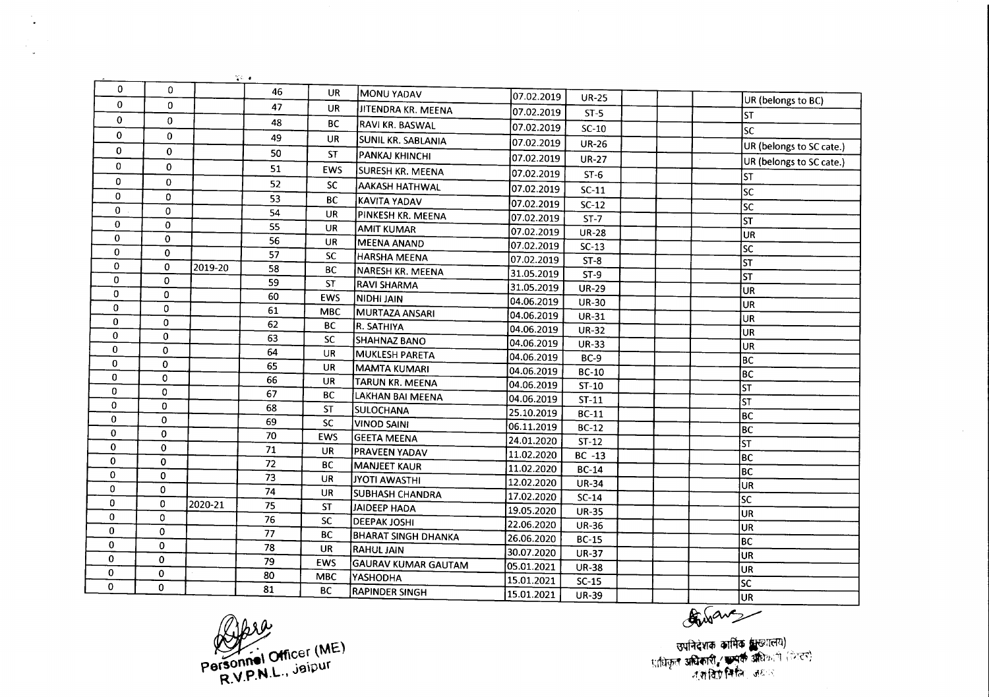|              |                    |         | $\frac{1}{2} \mathcal{L} = \mathbf{0}$  |            |                               |            |              |                                                                                                                                                                                                                                                                                                          |
|--------------|--------------------|---------|-----------------------------------------|------------|-------------------------------|------------|--------------|----------------------------------------------------------------------------------------------------------------------------------------------------------------------------------------------------------------------------------------------------------------------------------------------------------|
| 0            | 0                  |         | 46                                      | <b>UR</b>  | MONU YADAV                    | 07.02.2019 | <b>UR-25</b> | UR (belongs to BC)                                                                                                                                                                                                                                                                                       |
| 0            | $\mathbf{0}$       |         | 47                                      | <b>UR</b>  | JITENDRA KR. MEENA            | 07.02.2019 | $ST-5$       | <b>ST</b>                                                                                                                                                                                                                                                                                                |
| $\mathbf{0}$ | $\mathbf{0}$       |         | 48                                      | <b>BC</b>  | RAVI KR. BASWAL               | 07.02.2019 | $SC-10$      | <b>SC</b>                                                                                                                                                                                                                                                                                                |
| $\mathbf 0$  | $\mathbf{0}$       |         | 49                                      | <b>UR</b>  | SUNIL KR. SABLANIA            | 07.02.2019 | <b>UR-26</b> |                                                                                                                                                                                                                                                                                                          |
| $\mathbf 0$  | $\Omega$           |         | 50                                      | <b>ST</b>  | PANKAJ KHINCHI                | 07.02.2019 | <b>UR-27</b> | UR (belongs to SC cate.)                                                                                                                                                                                                                                                                                 |
| $\mathbf 0$  | 0                  |         | 51                                      | EWS        | SURESH KR. MEENA              | 07.02.2019 | $ST-6$       | UR (belongs to SC cate.)                                                                                                                                                                                                                                                                                 |
| $\mathbf{0}$ | 0                  |         | 52                                      | <b>SC</b>  | AAKASH HATHWAL                | 07.02.2019 |              | <b>ST</b>                                                                                                                                                                                                                                                                                                |
| $\mathbf 0$  | 0                  |         | 53                                      | <b>BC</b>  | <b>KAVITA YADAV</b>           |            | $SC-11$      | lsc                                                                                                                                                                                                                                                                                                      |
| 0            | $\Omega$           |         | 54                                      | <b>UR</b>  | PINKESH KR. MEENA             | 07.02.2019 | $SC-12$      | lsc                                                                                                                                                                                                                                                                                                      |
| $\mathbf{0}$ | $\mathbf 0$        |         | 55                                      | <b>UR</b>  | <b>AMIT KUMAR</b>             | 07.02.2019 | $ST-7$       | $\overline{\mathsf{s}\mathsf{\tau}}$                                                                                                                                                                                                                                                                     |
| 0            | $\pmb{0}$          |         | 56                                      | <b>UR</b>  | MEENA ANAND                   | 07.02.2019 | <b>UR-28</b> | UR                                                                                                                                                                                                                                                                                                       |
| 0            | $\mathbf 0$        |         | 57                                      | <b>SC</b>  | <b>HARSHA MEENA</b>           | 07.02.2019 | $SC-13$      | lsc                                                                                                                                                                                                                                                                                                      |
| $\mathbf 0$  | 0                  | 2019-20 | 58                                      | <b>BC</b>  | NARESH KR. MEENA              | 07.02.2019 | $ST-8$       | lst                                                                                                                                                                                                                                                                                                      |
| $\mathbf 0$  | 0                  |         | 59                                      | <b>ST</b>  | RAVI SHARMA                   | 31.05.2019 | $ST-9$       | lst                                                                                                                                                                                                                                                                                                      |
| $\mathbf 0$  | 0                  |         | 60                                      | <b>EWS</b> | <b>NIDHI JAIN</b>             | 31.05.2019 | <b>UR-29</b> | UR                                                                                                                                                                                                                                                                                                       |
| $\mathbf{0}$ | 0                  |         | 61                                      | <b>MBC</b> | MURTAZA ANSARI                | 04.06.2019 | <b>UR-30</b> | UR                                                                                                                                                                                                                                                                                                       |
| 0            | 0                  |         | 62                                      | BC         | R. SATHIYA                    | 04.06.2019 | <b>UR-31</b> | UR                                                                                                                                                                                                                                                                                                       |
| 0            | 0                  |         | 63                                      | <b>SC</b>  | <b>SHAHNAZ BANO</b>           | 04.06.2019 | $UR-32$      | <b>UR</b>                                                                                                                                                                                                                                                                                                |
| 0            | $\mathbf 0$        |         | 64                                      | UR         | <b>MUKLESH PARETA</b>         | 04.06.2019 | <b>UR-33</b> | <b>UR</b>                                                                                                                                                                                                                                                                                                |
| 0            | 0                  |         | 65                                      | <b>UR</b>  | <b>MAMTA KUMARI</b>           | 04.06.2019 | $BC-9$       | BC                                                                                                                                                                                                                                                                                                       |
| 0            | 0                  |         | 66                                      | <b>UR</b>  | TARUN KR. MEENA               | 04.06.2019 | <b>BC-10</b> | BC                                                                                                                                                                                                                                                                                                       |
| 0            | 0                  |         | 67                                      | BC         |                               | 04.06.2019 | $ST-10$      | $\overline{\mathsf{s}\mathsf{\tau}}$                                                                                                                                                                                                                                                                     |
| $\mathbf 0$  | 0                  |         | 68                                      | <b>ST</b>  | LAKHAN BAI MEENA<br>SULOCHANA | 04.06.2019 | $ST-11$      | ST                                                                                                                                                                                                                                                                                                       |
| $\mathbf 0$  | $\Omega$           |         | 69                                      | <b>SC</b>  | <b>VINOD SAINI</b>            | 25.10.2019 | <b>BC-11</b> | BC                                                                                                                                                                                                                                                                                                       |
| $\mathbf 0$  | 0                  |         | 70                                      | EWS        | <b>GEETA MEENA</b>            | 06.11.2019 | $BC-12$      | $\overline{BC}$                                                                                                                                                                                                                                                                                          |
| $\mathbf 0$  | $\Omega$           |         | 71                                      | UR.        |                               | 24.01.2020 | $ST-12$      | $\overline{\mathsf{s}\mathsf{T}}$                                                                                                                                                                                                                                                                        |
| 0            | 0                  |         | 72                                      | ВC         | PRAVEEN YADAV                 | 11.02.2020 | $BC -13$     | BC                                                                                                                                                                                                                                                                                                       |
| $\mathbf 0$  | 0                  |         | $\overline{73}$                         | <b>UR</b>  | <b>MANJEET KAUR</b>           | 11.02.2020 | <b>BC-14</b> | BC                                                                                                                                                                                                                                                                                                       |
| 0            | 0                  |         | $\overline{74}$                         | <b>UR</b>  | <b>JYOTI AWASTHI</b>          | 12.02.2020 | $UR-34$      | UR                                                                                                                                                                                                                                                                                                       |
| $\mathbf 0$  | $\pmb{0}$          | 2020-21 | 75                                      | <b>ST</b>  | <b>SUBHASH CHANDRA</b>        | 17.02.2020 | $SC-14$      | $\overline{\text{sc}}$                                                                                                                                                                                                                                                                                   |
| $\mathbf{0}$ | $\pmb{\mathtt{0}}$ |         | 76                                      | <b>SC</b>  | <b>JAIDEEP HADA</b>           | 19.05.2020 | <b>UR-35</b> | <b>UR</b>                                                                                                                                                                                                                                                                                                |
| 0            | 0                  |         | $\overline{77}$                         |            | <b>DEEPAK JOSHI</b>           | 22.06.2020 | <b>UR-36</b> | <b>UR</b>                                                                                                                                                                                                                                                                                                |
| 0            | 0                  |         | 78                                      | <b>BC</b>  | <b>BHARAT SINGH DHANKA</b>    | 26.06.2020 | <b>BC-15</b> | BC                                                                                                                                                                                                                                                                                                       |
| $\mathbf 0$  | 0                  |         | 79                                      | <b>UR</b>  | <b>RAHUL JAIN</b>             | 30.07.2020 | <b>UR-37</b> | UR                                                                                                                                                                                                                                                                                                       |
| 0            | 0                  |         | 80                                      | <b>EWS</b> | <b>GAURAV KUMAR GAUTAM</b>    | 05.01.2021 | <b>UR-38</b> | <b>UR</b>                                                                                                                                                                                                                                                                                                |
| $\mathbf 0$  | 0                  |         | 81                                      | <b>MBC</b> | YASHODHA                      | 15.01.2021 | $SC-15$      | $\overline{\mathsf{sc}}$                                                                                                                                                                                                                                                                                 |
|              |                    |         |                                         | <b>BC</b>  | <b>RAPINDER SINGH</b>         | 15.01.2021 | <b>UR-39</b> |                                                                                                                                                                                                                                                                                                          |
|              |                    |         | Personnel Officer (ME)<br>DVPNL. Jaipur |            |                               |            |              | $\frac{135}{100}$<br>$\frac{1}{130}$ $\frac{1}{130}$ $\frac{1}{130}$ $\frac{1}{130}$ $\frac{1}{130}$ $\frac{1}{130}$ $\frac{1}{130}$ $\frac{1}{130}$ $\frac{1}{130}$ $\frac{1}{130}$ $\frac{1}{130}$ $\frac{1}{130}$ $\frac{1}{130}$ $\frac{1}{130}$ $\frac{1}{130}$ $\frac{1}{130}$ $\frac{1}{130}$ $\$ |

 $V_{\text{rad}}$  Officer (ME) **personner** C., jaiput

 $\mathbb{Z}$ 

 $\mathcal{A}_{\varphi}$ 

0